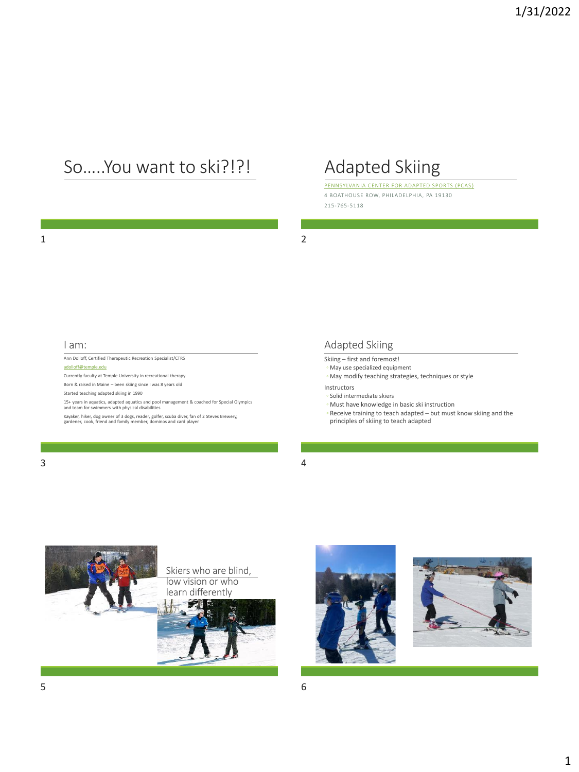# So.....You want to ski?!?! Adapted Skiing

[PENNSYLVANIA CENTER FOR ADAPTED SPORTS \(PCAS](https://www.centeronline.com/)) 4 BOATHOUSE ROW, PHILADELPHIA, PA 19130 215-765-5118

1 2

### I am:

Ann Dolloff, Certified Therapeutic Recreation Specialist/CTRS [adolloff@temple.edu](mailto:adolloff@temple.edu)

Currently faculty at Temple University in recreational therapy Born & raised in Maine – been skiing since I was 8 years old

Started teaching adapted skiing in 1990

15+ years in aquatics, adapted aquatics and pool management & coached for Special Olympics and team for swimmers with physical disabilities

Kayaker, hiker, dog owner of 3 dogs, reader, golfer, scuba diver, fan of 2 Steves Brewery, gardener, cook, friend and family member, dominos and card player.

#### $3 \hspace{2.5cm} 4$

### Adapted Skiing

- Skiing first and foremost!
- May use specialized equipment
- May modify teaching strategies, techniques or style

Instructors

- Solid intermediate skiers
- Must have knowledge in basic ski instruction
- Receive training to teach adapted but must know skiing and the principles of skiing to teach adapted





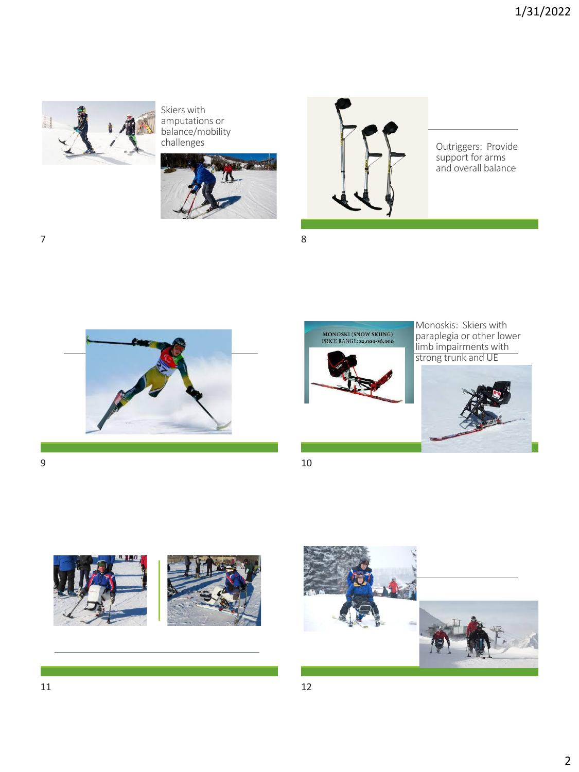

Skiers with amputations or balance/mobility





support for arms and overall balance

7 8



 $9 \hspace{2.5cm} 10$ 











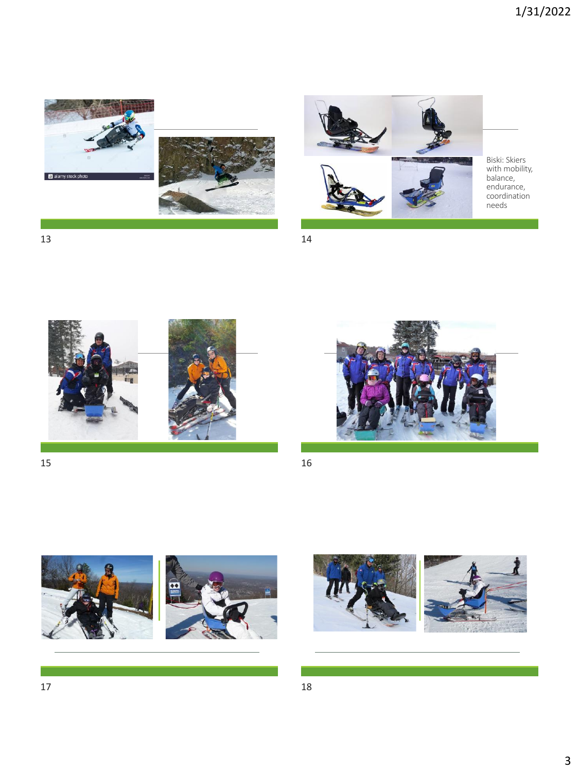



Biski: Skiers with mobility, balance, endurance, coordination

13 14



 $15$  16

И.







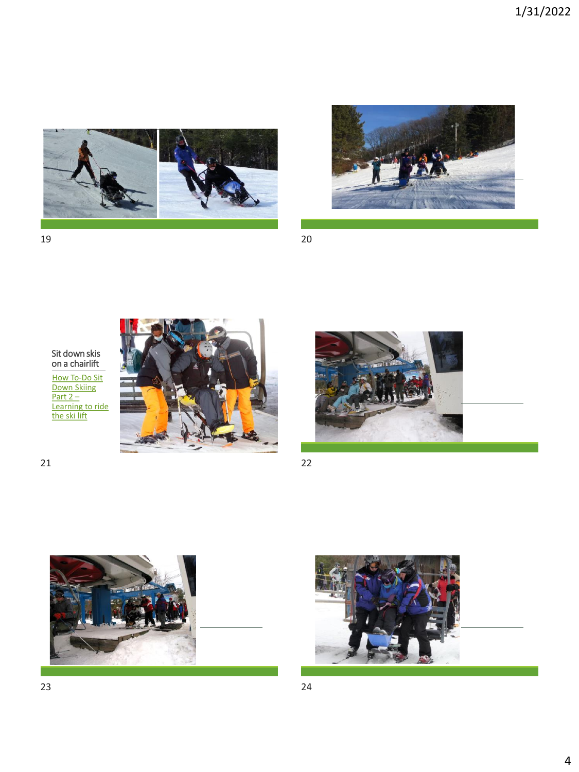



19 20



How To-Do Sit Down Skiing Part 2 – [Learning to ride](https://www.bing.com/videos/search?q=adapted+ski+on+chairlift&&view=detail&mid=ABC505488DCA7DE86920ABC505488DCA7DE86920&&FORM=VRDGAR&ru=%2Fvideos%2Fsearch%3Fq%3Dadapted%2520ski%2520on%2520chairlift%26qs%3Dn%26form%3DQBVR%26%3D%2525eManage%2520Your%2520Search%2520History%2525E%26sp%3D-1%26pq%3Dadapted%2520ski%2520on%2520chairlift%26sc%3D0-24%26sk%3D%26cvid%3DCD8AA307ECA44D7D933783980A3C4C27) <mark>the ski lift</mark>